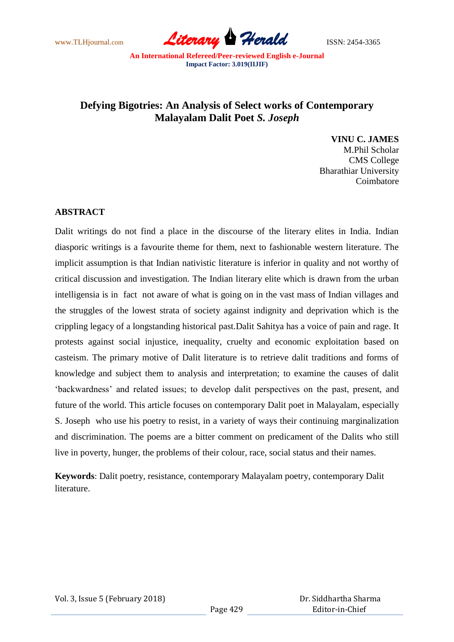www.TLHjournal.com **Literary Herald** ISSN: 2454-3365

## **Defying Bigotries: An Analysis of Select works of Contemporary Malayalam Dalit Poet** *S. Joseph*

**VINU C. JAMES** M.Phil Scholar CMS College Bharathiar University Coimbatore

## **ABSTRACT**

Dalit writings do not find a place in the discourse of the literary elites in India. Indian diasporic writings is a favourite theme for them, next to fashionable western literature. The implicit assumption is that Indian nativistic literature is inferior in quality and not worthy of critical discussion and investigation. The Indian literary elite which is drawn from the urban intelligensia is in fact not aware of what is going on in the vast mass of Indian villages and the struggles of the lowest strata of society against indignity and deprivation which is the crippling legacy of a longstanding historical past.Dalit Sahitya has a voice of pain and rage. It protests against social injustice, inequality, cruelty and economic exploitation based on casteism. The primary motive of Dalit literature is to retrieve dalit traditions and forms of knowledge and subject them to analysis and interpretation; to examine the causes of dalit "backwardness" and related issues; to develop dalit perspectives on the past, present, and future of the world. This article focuses on contemporary Dalit poet in Malayalam, especially S. Joseph who use his poetry to resist, in a variety of ways their continuing marginalization and discrimination. The poems are a bitter comment on predicament of the Dalits who still live in poverty, hunger, the problems of their colour, race, social status and their names.

**Keywords**: Dalit poetry, resistance, contemporary Malayalam poetry, contemporary Dalit literature.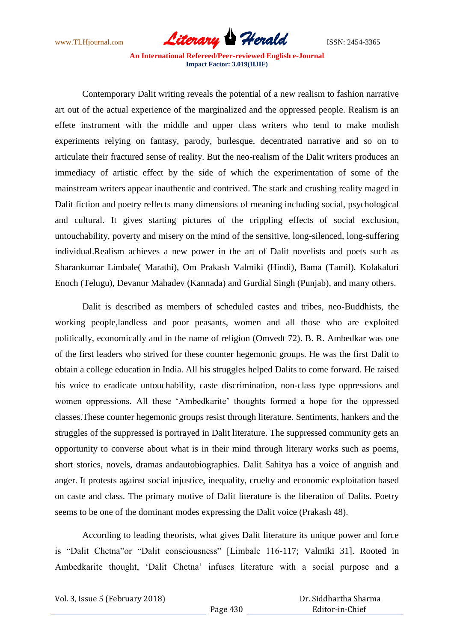

Contemporary Dalit writing reveals the potential of a new realism to fashion narrative art out of the actual experience of the marginalized and the oppressed people. Realism is an effete instrument with the middle and upper class writers who tend to make modish experiments relying on fantasy, parody, burlesque, decentrated narrative and so on to articulate their fractured sense of reality. But the neo-realism of the Dalit writers produces an immediacy of artistic effect by the side of which the experimentation of some of the mainstream writers appear inauthentic and contrived. The stark and crushing reality maged in Dalit fiction and poetry reflects many dimensions of meaning including social, psychological and cultural. It gives starting pictures of the crippling effects of social exclusion, untouchability, poverty and misery on the mind of the sensitive, long-silenced, long-suffering individual.Realism achieves a new power in the art of Dalit novelists and poets such as Sharankumar Limbale( Marathi), Om Prakash Valmiki (Hindi), Bama (Tamil), Kolakaluri Enoch (Telugu), Devanur Mahadev (Kannada) and Gurdial Singh (Punjab), and many others.

Dalit is described as members of scheduled castes and tribes, neo-Buddhists, the working people,landless and poor peasants, women and all those who are exploited politically, economically and in the name of religion (Omvedt 72). B. R. Ambedkar was one of the first leaders who strived for these counter hegemonic groups. He was the first Dalit to obtain a college education in India. All his struggles helped Dalits to come forward. He raised his voice to eradicate untouchability, caste discrimination, non-class type oppressions and women oppressions. All these "Ambedkarite" thoughts formed a hope for the oppressed classes.These counter hegemonic groups resist through literature. Sentiments, hankers and the struggles of the suppressed is portrayed in Dalit literature. The suppressed community gets an opportunity to converse about what is in their mind through literary works such as poems, short stories, novels, dramas andautobiographies. Dalit Sahitya has a voice of anguish and anger. It protests against social injustice, inequality, cruelty and economic exploitation based on caste and class. The primary motive of Dalit literature is the liberation of Dalits. Poetry seems to be one of the dominant modes expressing the Dalit voice (Prakash 48).

According to leading theorists, what gives Dalit literature its unique power and force is "Dalit Chetna"or "Dalit consciousness" [Limbale 116-117; Valmiki 31]. Rooted in Ambedkarite thought, "Dalit Chetna" infuses literature with a social purpose and a

Vol. 3, Issue 5 (February 2018)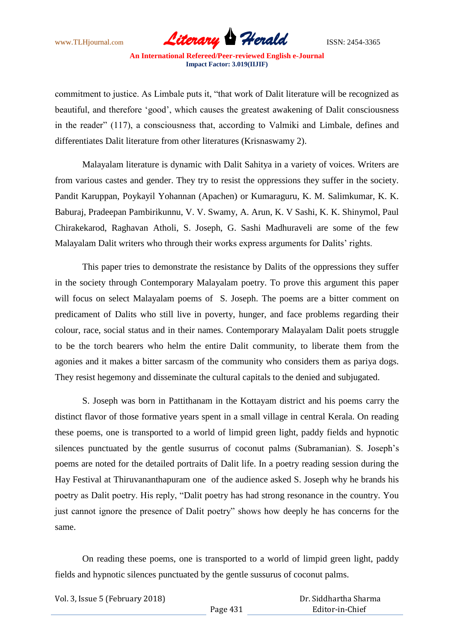

commitment to justice. As Limbale puts it, "that work of Dalit literature will be recognized as beautiful, and therefore "good", which causes the greatest awakening of Dalit consciousness in the reader" (117), a consciousness that, according to Valmiki and Limbale, defines and differentiates Dalit literature from other literatures (Krisnaswamy 2).

Malayalam literature is dynamic with Dalit Sahitya in a variety of voices. Writers are from various castes and gender. They try to resist the oppressions they suffer in the society. Pandit Karuppan, Poykayil Yohannan (Apachen) or Kumaraguru, K. M. Salimkumar, K. K. Baburaj, Pradeepan Pambirikunnu, V. V. Swamy, A. Arun, K. V Sashi, K. K. Shinymol, Paul Chirakekarod, Raghavan Atholi, S. Joseph, G. Sashi Madhuraveli are some of the few Malayalam Dalit writers who through their works express arguments for Dalits' rights.

This paper tries to demonstrate the resistance by Dalits of the oppressions they suffer in the society through Contemporary Malayalam poetry. To prove this argument this paper will focus on select Malayalam poems of S. Joseph. The poems are a bitter comment on predicament of Dalits who still live in poverty, hunger, and face problems regarding their colour, race, social status and in their names. Contemporary Malayalam Dalit poets struggle to be the torch bearers who helm the entire Dalit community, to liberate them from the agonies and it makes a bitter sarcasm of the community who considers them as pariya dogs. They resist hegemony and disseminate the cultural capitals to the denied and subjugated.

S. Joseph was born in Pattithanam in the Kottayam district and his poems carry the distinct flavor of those formative years spent in a small village in central Kerala. On reading these poems, one is transported to a world of limpid green light, paddy fields and hypnotic silences punctuated by the gentle susurrus of coconut palms (Subramanian). S. Joseph"s poems are noted for the detailed portraits of Dalit life. In a poetry reading session during the Hay Festival at Thiruvananthapuram one of the audience asked S. Joseph why he brands his poetry as Dalit poetry. His reply, "Dalit poetry has had strong resonance in the country. You just cannot ignore the presence of Dalit poetry" shows how deeply he has concerns for the same.

On reading these poems, one is transported to a world of limpid green light, paddy fields and hypnotic silences punctuated by the gentle sussurus of coconut palms.

Vol. 3, Issue 5 (February 2018)

 Dr. Siddhartha Sharma Editor-in-Chief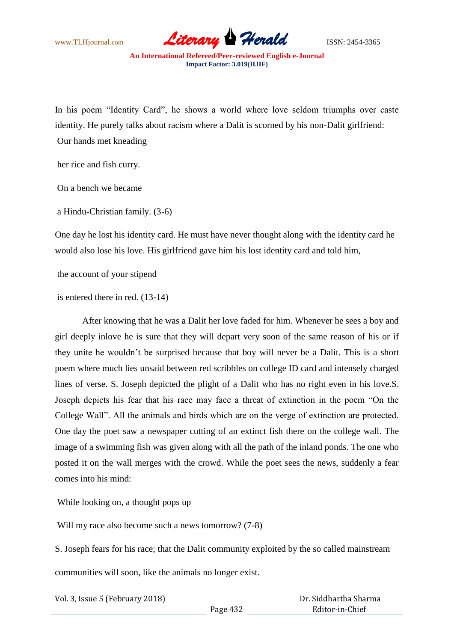

In his poem "Identity Card", he shows a world where love seldom triumphs over caste identity. He purely talks about racism where a Dalit is scorned by his non-Dalit girlfriend: Our hands met kneading

her rice and fish curry.

On a bench we became

a Hindu-Christian family. (3-6)

One day he lost his identity card. He must have never thought along with the identity card he would also lose his love. His girlfriend gave him his lost identity card and told him,

the account of your stipend

is entered there in red. (13-14)

After knowing that he was a Dalit her love faded for him. Whenever he sees a boy and girl deeply inlove he is sure that they will depart very soon of the same reason of his or if they unite he wouldn"t be surprised because that boy will never be a Dalit. This is a short poem where much lies unsaid between red scribbles on college ID card and intensely charged lines of verse. S. Joseph depicted the plight of a Dalit who has no right even in his love.S. Joseph depicts his fear that his race may face a threat of extinction in the poem "On the College Wall". All the animals and birds which are on the verge of extinction are protected. One day the poet saw a newspaper cutting of an extinct fish there on the college wall. The image of a swimming fish was given along with all the path of the inland ponds. The one who posted it on the wall merges with the crowd. While the poet sees the news, suddenly a fear comes into his mind:

While looking on, a thought pops up

Will my race also become such a news tomorrow?  $(7-8)$ 

S. Joseph fears for his race; that the Dalit community exploited by the so called mainstream communities will soon, like the animals no longer exist.

Vol. 3, Issue 5 (February 2018)

 Dr. Siddhartha Sharma Editor-in-Chief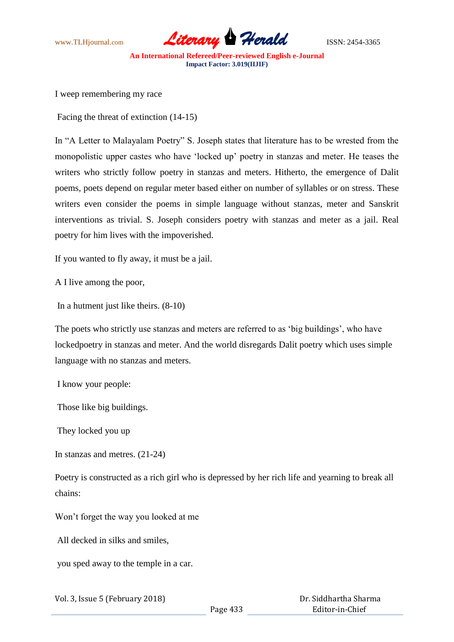

I weep remembering my race

Facing the threat of extinction (14-15)

In "A Letter to Malayalam Poetry" S. Joseph states that literature has to be wrested from the monopolistic upper castes who have "locked up" poetry in stanzas and meter. He teases the writers who strictly follow poetry in stanzas and meters. Hitherto, the emergence of Dalit poems, poets depend on regular meter based either on number of syllables or on stress. These writers even consider the poems in simple language without stanzas, meter and Sanskrit interventions as trivial. S. Joseph considers poetry with stanzas and meter as a jail. Real poetry for him lives with the impoverished.

If you wanted to fly away, it must be a jail.

A I live among the poor,

In a hutment just like theirs. (8-10)

The poets who strictly use stanzas and meters are referred to as "big buildings", who have lockedpoetry in stanzas and meter. And the world disregards Dalit poetry which uses simple language with no stanzas and meters.

I know your people:

Those like big buildings.

They locked you up

In stanzas and metres. (21-24)

Poetry is constructed as a rich girl who is depressed by her rich life and yearning to break all chains:

Won"t forget the way you looked at me

All decked in silks and smiles,

you sped away to the temple in a car.

Page 433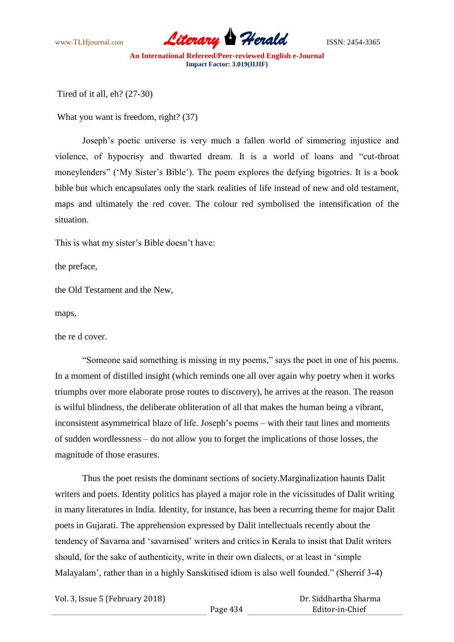

Tired of it all, eh? (27-30)

What you want is freedom, right? (37)

Joseph"s poetic universe is very much a fallen world of simmering injustice and violence, of hypocrisy and thwarted dream. It is a world of loans and "cut-throat moneylenders" ('My Sister's Bible'). The poem explores the defying bigotries. It is a book bible but which encapsulates only the stark realities of life instead of new and old testament, maps and ultimately the red cover. The colour red symbolised the intensification of the situation.

This is what my sister's Bible doesn't have:

the preface,

the Old Testament and the New,

maps,

the re d cover.

"Someone said something is missing in my poems," says the poet in one of his poems. In a moment of distilled insight (which reminds one all over again why poetry when it works triumphs over more elaborate prose routes to discovery), he arrives at the reason. The reason is wilful blindness, the deliberate obliteration of all that makes the human being a vibrant, inconsistent asymmetrical blaze of life. Joseph"s poems – with their taut lines and moments of sudden wordlessness – do not allow you to forget the implications of those losses, the magnitude of those erasures.

Thus the poet resists the dominant sections of society.Marginalization haunts Dalit writers and poets. Identity politics has played a major role in the vicissitudes of Dalit writing in many literatures in India. Identity, for instance, has been a recurring theme for major Dalit poets in Gujarati. The apprehension expressed by Dalit intellectuals recently about the tendency of Savarna and "savarnised" writers and critics in Kerala to insist that Dalit writers should, for the sake of authenticity, write in their own dialects, or at least in "simple Malayalam", rather than in a highly Sanskitised idiom is also well founded." (Sherrif 3-4)

Vol. 3, Issue 5 (February 2018)

 Dr. Siddhartha Sharma Editor-in-Chief